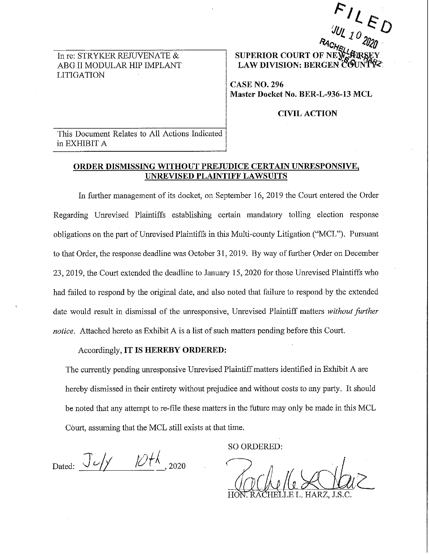In re: STRYKER REJUVENATE & ABG II MODULAR HIP IMPLANT LITIGATION

*;/lJL 10 <sup>12</sup>***D ~Of.(~** *20;9* · **SUPERIOR COURT OF NE LAW DIVISION: BERGEN** 

 $F$   $I$   $\cal L$ 

**CASEN0.296 Master Docket No. BER-L-936-13 MCL** 

**CIVIL ACTION** 

This Document Relates to All Actions Indicated in EXHIBIT A

## **ORDER DISMISSING WITHOUT PREJUDICE CERTAIN UNRESPONSIVE, UNREVISED PLAINTIFF LAWSUITS**

In further management of its docket, on September 16, 2019 the Court entered the Order Regarding Unrevised Plaintiffs establishing certain mandatory tolling election response obligations on the part of Unrevised Plaintiffs in this Multi-county Litigation ("MCL"). Pursuant to that Order, the response deadline was October 31, 2019. By way of further Order on December 23, 2019, the Court extended the deadline to January 15, 2020 for those Unrevised Plaintiffs who had failed to respond by the original date, and also noted that failure to respond by the extended date would result in dismissal of the unresponsive, Unrevised Plaintiff matters *without further notice.* Attached hereto as Exhibit A is a list of such matters pending before this Court.

## Accordingly, **IT IS HEREBY ORDERED:**

The currently pending unresponsive Unrevised Plaintiff matters identified in Exhibit A are hereby dismissed in their entirety without prejudice and without costs to any party. It should be noted that any attempt to re-file these matters in the future may only be made in this MCL Court, assuming that the MCL still exists at that time.

Dated:  $J \sim \frac{1}{10^{14} \text{ m/s}^2}$  2020

SO ORDERED:

E L. HARZ.